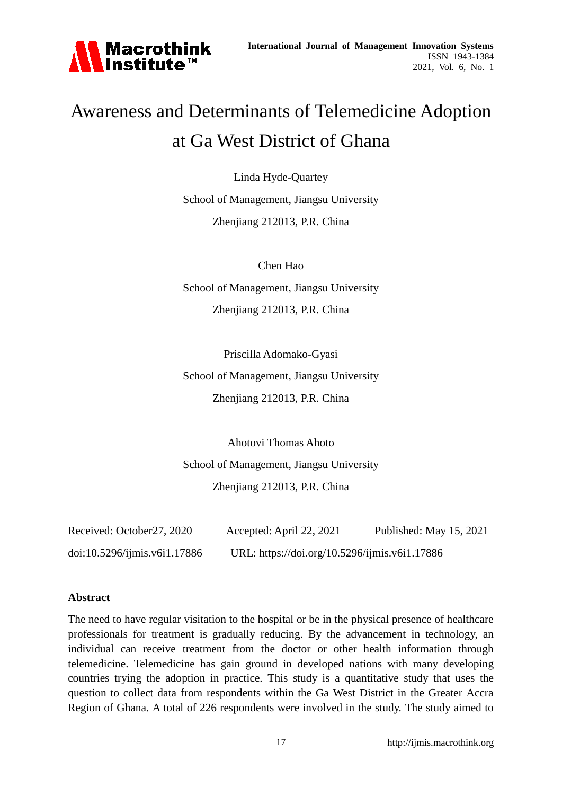

# Awareness and Determinants of Telemedicine Adoption at Ga West District of Ghana

Linda Hyde-Quartey School of Management, Jiangsu University Zhenjiang 212013, P.R. China

Chen Hao School of Management, Jiangsu University Zhenjiang 212013, P.R. China

Priscilla Adomako-Gyasi School of Management, Jiangsu University Zhenjiang 212013, P.R. China

Ahotovi Thomas Ahoto School of Management, Jiangsu University Zhenjiang 212013, P.R. China

| Received: October27, 2020    | Accepted: April 22, 2021                      | Published: May 15, 2021 |
|------------------------------|-----------------------------------------------|-------------------------|
| doi:10.5296/ijmis.v6i1.17886 | URL: https://doi.org/10.5296/ijmis.v6i1.17886 |                         |

#### **Abstract**

The need to have regular visitation to the hospital or be in the physical presence of healthcare professionals for treatment is gradually reducing. By the advancement in technology, an individual can receive treatment from the doctor or other health information through telemedicine. Telemedicine has gain ground in developed nations with many developing countries trying the adoption in practice. This study is a quantitative study that uses the question to collect data from respondents within the Ga West District in the Greater Accra Region of Ghana. A total of 226 respondents were involved in the study. The study aimed to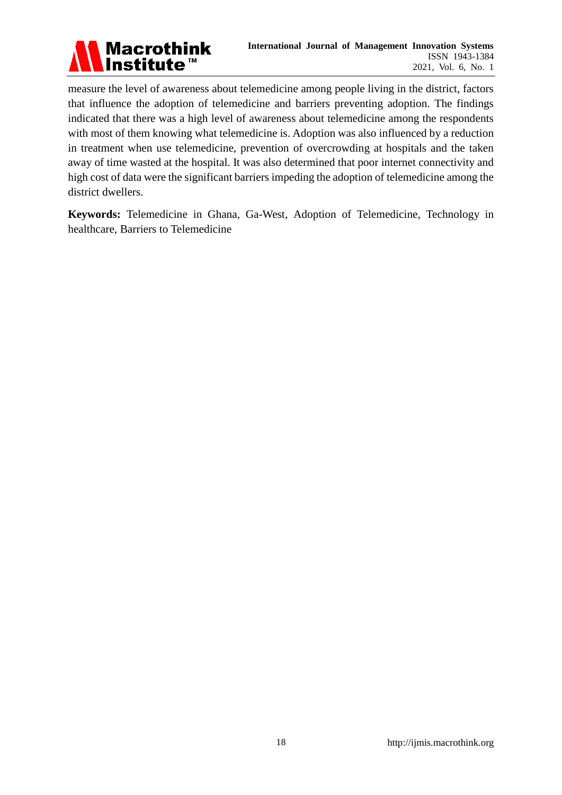

measure the level of awareness about telemedicine among people living in the district, factors that influence the adoption of telemedicine and barriers preventing adoption. The findings indicated that there was a high level of awareness about telemedicine among the respondents with most of them knowing what telemedicine is. Adoption was also influenced by a reduction in treatment when use telemedicine, prevention of overcrowding at hospitals and the taken away of time wasted at the hospital. It was also determined that poor internet connectivity and high cost of data were the significant barriers impeding the adoption of telemedicine among the district dwellers.

**Keywords:** Telemedicine in Ghana, Ga-West, Adoption of Telemedicine, Technology in healthcare, Barriers to Telemedicine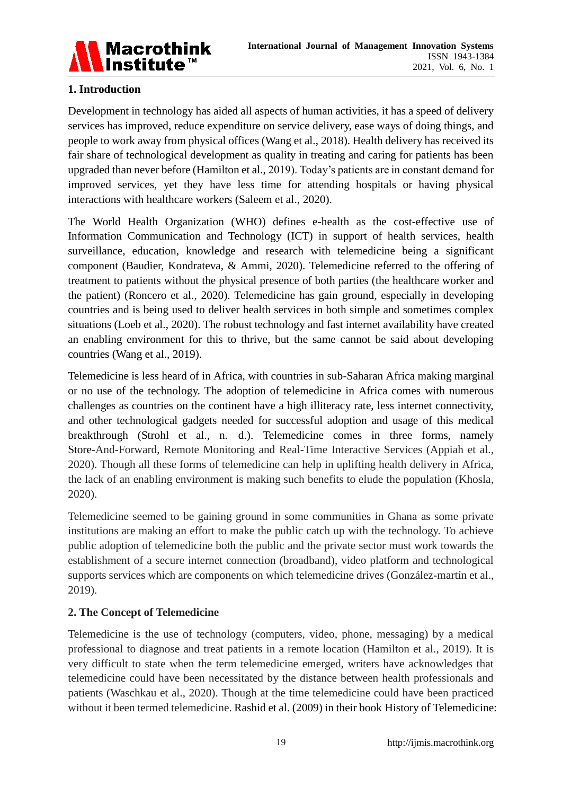

# **1. Introduction**

Development in technology has aided all aspects of human activities, it has a speed of delivery services has improved, reduce expenditure on service delivery, ease ways of doing things, and people to work away from physical offices (Wang et al., 2018). Health delivery has received its fair share of technological development as quality in treating and caring for patients has been upgraded than never before (Hamilton et al., 2019). Today's patients are in constant demand for improved services, yet they have less time for attending hospitals or having physical interactions with healthcare workers (Saleem et al., 2020).

The World Health Organization (WHO) defines e-health as the cost-effective use of Information Communication and Technology (ICT) in support of health services, health surveillance, education, knowledge and research with telemedicine being a significant component (Baudier, Kondrateva, & Ammi, 2020). Telemedicine referred to the offering of treatment to patients without the physical presence of both parties (the healthcare worker and the patient) (Roncero et al., 2020). Telemedicine has gain ground, especially in developing countries and is being used to deliver health services in both simple and sometimes complex situations (Loeb et al., 2020). The robust technology and fast internet availability have created an enabling environment for this to thrive, but the same cannot be said about developing countries (Wang et al., 2019).

Telemedicine is less heard of in Africa, with countries in sub-Saharan Africa making marginal or no use of the technology. The adoption of telemedicine in Africa comes with numerous challenges as countries on the continent have a high illiteracy rate, less internet connectivity, and other technological gadgets needed for successful adoption and usage of this medical breakthrough (Strohl et al., n. d.). Telemedicine comes in three forms, namely Store-And-Forward, Remote Monitoring and Real-Time Interactive Services (Appiah et al., 2020). Though all these forms of telemedicine can help in uplifting health delivery in Africa, the lack of an enabling environment is making such benefits to elude the population (Khosla, 2020).

Telemedicine seemed to be gaining ground in some communities in Ghana as some private institutions are making an effort to make the public catch up with the technology. To achieve public adoption of telemedicine both the public and the private sector must work towards the establishment of a secure internet connection (broadband), video platform and technological supports services which are components on which telemedicine drives (Gonz alez-mart n et al., 2019).

# **2. The Concept of Telemedicine**

Telemedicine is the use of technology (computers, video, phone, messaging) by a medical professional to diagnose and treat patients in a remote location (Hamilton et al., 2019). It is very difficult to state when the term telemedicine emerged, writers have acknowledges that telemedicine could have been necessitated by the distance between health professionals and patients (Waschkau et al., 2020). Though at the time telemedicine could have been practiced without it been termed telemedicine. Rashid et al. (2009) in their book History of Telemedicine: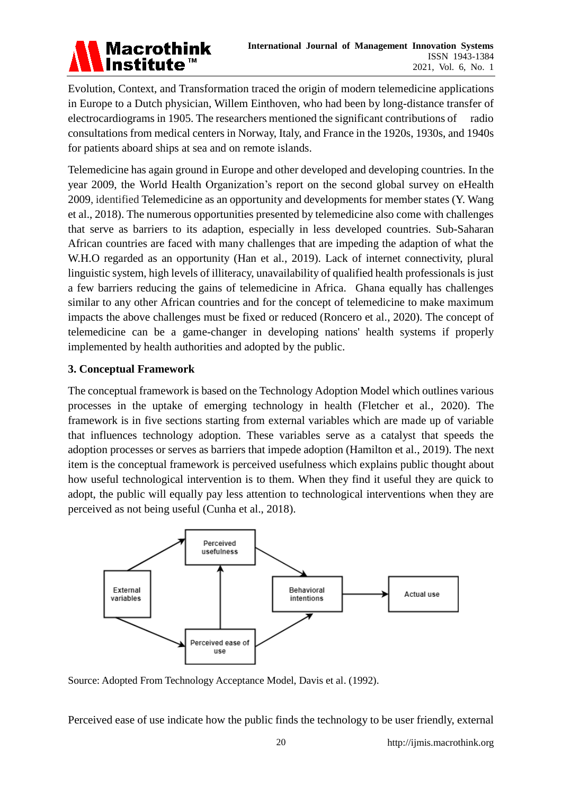# **Macrothink** Institute™

Evolution, Context, and Transformation traced the origin of modern telemedicine applications in Europe to a Dutch physician, Willem Einthoven, who had been by long-distance transfer of electrocardiograms in 1905. The researchers mentioned the significant contributions of radio consultations from medical centers in Norway, Italy, and France in the 1920s, 1930s, and 1940s for patients aboard ships at sea and on remote islands.

Telemedicine has again ground in Europe and other developed and developing countries. In the year 2009, the World Health Organization's report on the second global survey on eHealth 2009, identified Telemedicine as an opportunity and developments for member states (Y. Wang et al., 2018). The numerous opportunities presented by telemedicine also come with challenges that serve as barriers to its adaption, especially in less developed countries. Sub-Saharan African countries are faced with many challenges that are impeding the adaption of what the W.H.O regarded as an opportunity (Han et al., 2019). Lack of internet connectivity, plural linguistic system, high levels of illiteracy, unavailability of qualified health professionals is just a few barriers reducing the gains of telemedicine in Africa. Ghana equally has challenges similar to any other African countries and for the concept of telemedicine to make maximum impacts the above challenges must be fixed or reduced (Roncero et al., 2020). The concept of telemedicine can be a game-changer in developing nations' health systems if properly implemented by health authorities and adopted by the public.

# **3. Conceptual Framework**

The conceptual framework is based on the Technology Adoption Model which outlines various processes in the uptake of emerging technology in health (Fletcher et al., 2020). The framework is in five sections starting from external variables which are made up of variable that influences technology adoption. These variables serve as a catalyst that speeds the adoption processes or serves as barriers that impede adoption (Hamilton et al., 2019). The next item is the conceptual framework is perceived usefulness which explains public thought about how useful technological intervention is to them. When they find it useful they are quick to adopt, the public will equally pay less attention to technological interventions when they are perceived as not being useful (Cunha et al., 2018).



Source: Adopted From Technology Acceptance Model, Davis et al. (1992).

Perceived ease of use indicate how the public finds the technology to be user friendly, external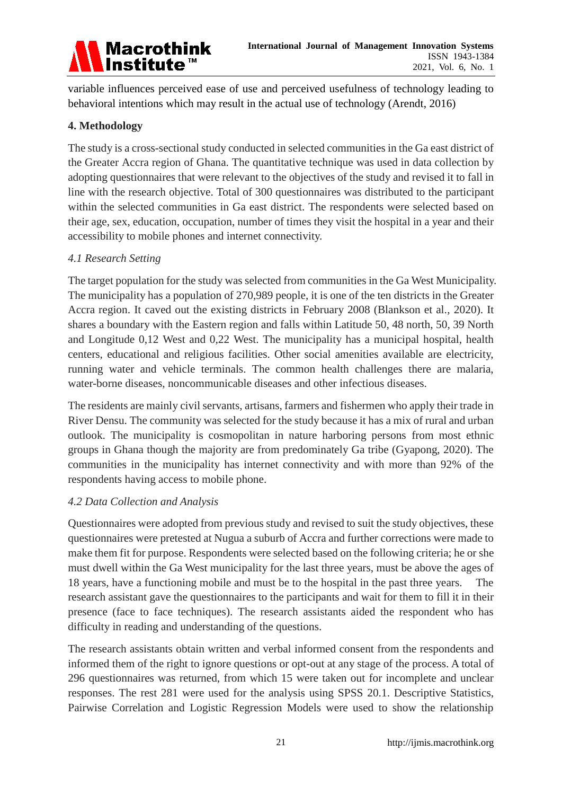

variable influences perceived ease of use and perceived usefulness of technology leading to behavioral intentions which may result in the actual use of technology (Arendt, 2016)

# **4. Methodology**

The study is a cross-sectional study conducted in selected communities in the Ga east district of the Greater Accra region of Ghana. The quantitative technique was used in data collection by adopting questionnaires that were relevant to the objectives of the study and revised it to fall in line with the research objective. Total of 300 questionnaires was distributed to the participant within the selected communities in Ga east district. The respondents were selected based on their age, sex, education, occupation, number of times they visit the hospital in a year and their accessibility to mobile phones and internet connectivity.

# *4.1 Research Setting*

The target population for the study was selected from communities in the Ga West Municipality. The municipality has a population of 270,989 people, it is one of the ten districts in the Greater Accra region. It caved out the existing districts in February 2008 (Blankson et al., 2020). It shares a boundary with the Eastern region and falls within Latitude 50, 48 north, 50, 39 North and Longitude 0,12 West and 0,22 West. The municipality has a municipal hospital, health centers, educational and religious facilities. Other social amenities available are electricity, running water and vehicle terminals. The common health challenges there are malaria, water-borne diseases, noncommunicable diseases and other infectious diseases.

The residents are mainly civil servants, artisans, farmers and fishermen who apply their trade in River Densu. The community was selected for the study because it has a mix of rural and urban outlook. The municipality is cosmopolitan in nature harboring persons from most ethnic groups in Ghana though the majority are from predominately Ga tribe (Gyapong, 2020). The communities in the municipality has internet connectivity and with more than 92% of the respondents having access to mobile phone.

# *4.2 Data Collection and Analysis*

Questionnaires were adopted from previous study and revised to suit the study objectives, these questionnaires were pretested at Nugua a suburb of Accra and further corrections were made to make them fit for purpose. Respondents were selected based on the following criteria; he or she must dwell within the Ga West municipality for the last three years, must be above the ages of 18 years, have a functioning mobile and must be to the hospital in the past three years. The research assistant gave the questionnaires to the participants and wait for them to fill it in their presence (face to face techniques). The research assistants aided the respondent who has difficulty in reading and understanding of the questions.

The research assistants obtain written and verbal informed consent from the respondents and informed them of the right to ignore questions or opt-out at any stage of the process. A total of 296 questionnaires was returned, from which 15 were taken out for incomplete and unclear responses. The rest 281 were used for the analysis using SPSS 20.1. Descriptive Statistics, Pairwise Correlation and Logistic Regression Models were used to show the relationship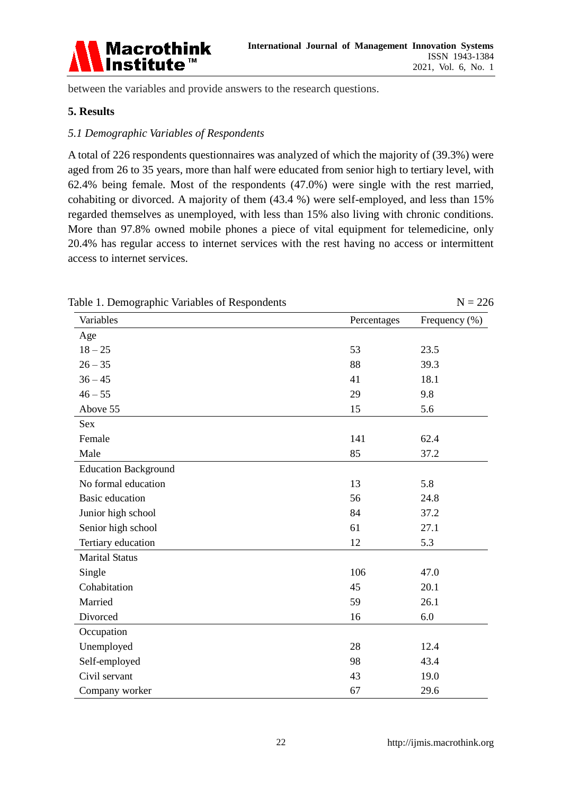

between the variables and provide answers to the research questions.

#### **5. Results**

#### *5.1 Demographic Variables of Respondents*

A total of 226 respondents questionnaires was analyzed of which the majority of (39.3%) were aged from 26 to 35 years, more than half were educated from senior high to tertiary level, with 62.4% being female. Most of the respondents (47.0%) were single with the rest married, cohabiting or divorced. A majority of them (43.4 %) were self-employed, and less than 15% regarded themselves as unemployed, with less than 15% also living with chronic conditions. More than 97.8% owned mobile phones a piece of vital equipment for telemedicine, only 20.4% has regular access to internet services with the rest having no access or intermittent access to internet services.

| able 1. Demographic variables of respondents |             | $11 - 220$    |
|----------------------------------------------|-------------|---------------|
| Variables                                    | Percentages | Frequency (%) |
| Age                                          |             |               |
| $18 - 25$                                    | 53          | 23.5          |
| $26 - 35$                                    | 88          | 39.3          |
| $36 - 45$                                    | 41          | 18.1          |
| $46 - 55$                                    | 29          | 9.8           |
| Above 55                                     | 15          | 5.6           |
| Sex                                          |             |               |
| Female                                       | 141         | 62.4          |
| Male                                         | 85          | 37.2          |
| <b>Education Background</b>                  |             |               |
| No formal education                          | 13          | 5.8           |
| <b>Basic education</b>                       | 56          | 24.8          |
| Junior high school                           | 84          | 37.2          |
| Senior high school                           | 61          | 27.1          |
| Tertiary education                           | 12          | 5.3           |
| <b>Marital Status</b>                        |             |               |
| Single                                       | 106         | 47.0          |
| Cohabitation                                 | 45          | 20.1          |
| Married                                      | 59          | 26.1          |
| Divorced                                     | 16          | 6.0           |
| Occupation                                   |             |               |
| Unemployed                                   | 28          | 12.4          |
| Self-employed                                | 98          | 43.4          |
| Civil servant                                | 43          | 19.0          |
| Company worker                               | 67          | 29.6          |

Table 1. Demographic Variables of Respondents  $N = 226$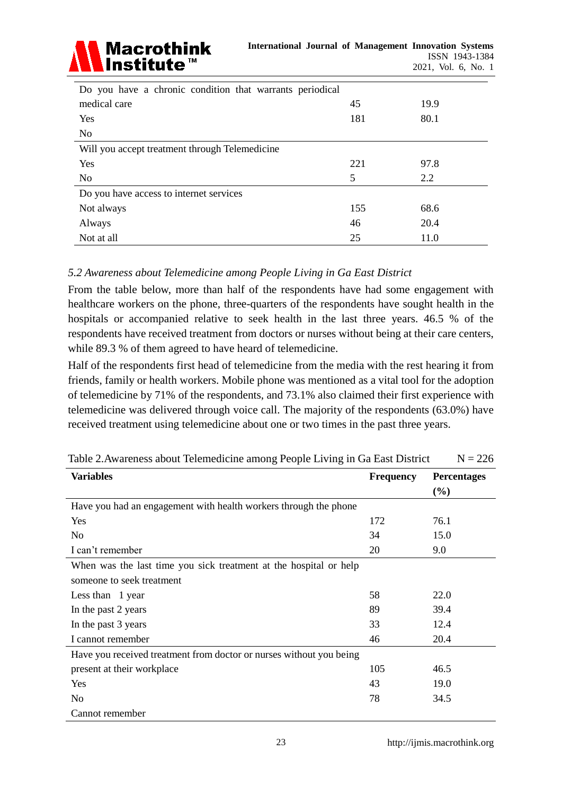

| Do you have a chronic condition that warrants periodical |     |      |
|----------------------------------------------------------|-----|------|
| medical care                                             | 45  | 19.9 |
| Yes                                                      | 181 | 80.1 |
| N <sub>0</sub>                                           |     |      |
| Will you accept treatment through Telemedicine           |     |      |
| Yes                                                      | 221 | 97.8 |
| N <sub>0</sub>                                           | 5   | 2.2  |
| Do you have access to internet services                  |     |      |
| Not always                                               | 155 | 68.6 |
| Always                                                   | 46  | 20.4 |
| Not at all                                               | 25  | 11.0 |

# *5.2 Awareness about Telemedicine among People Living in Ga East District*

From the table below, more than half of the respondents have had some engagement with healthcare workers on the phone, three-quarters of the respondents have sought health in the hospitals or accompanied relative to seek health in the last three years. 46.5 % of the respondents have received treatment from doctors or nurses without being at their care centers, while 89.3 % of them agreed to have heard of telemedicine.

Half of the respondents first head of telemedicine from the media with the rest hearing it from friends, family or health workers. Mobile phone was mentioned as a vital tool for the adoption of telemedicine by 71% of the respondents, and 73.1% also claimed their first experience with telemedicine was delivered through voice call. The majority of the respondents (63.0%) have received treatment using telemedicine about one or two times in the past three years.

| <b>Variables</b>                                                    | <b>Frequency</b> | <b>Percentages</b> |
|---------------------------------------------------------------------|------------------|--------------------|
|                                                                     |                  | $(\%)$             |
| Have you had an engagement with health workers through the phone    |                  |                    |
| Yes                                                                 | 172              | 76.1               |
| N <sub>0</sub>                                                      | 34               | 15.0               |
| I can't remember                                                    | 20               | 9.0                |
| When was the last time you sick treatment at the hospital or help   |                  |                    |
| someone to seek treatment                                           |                  |                    |
| Less than 1 year                                                    | 58               | 22.0               |
| In the past 2 years                                                 | 89               | 39.4               |
| In the past 3 years                                                 | 33               | 12.4               |
| I cannot remember                                                   | 46               | 20.4               |
| Have you received treatment from doctor or nurses without you being |                  |                    |
| present at their workplace                                          | 105              | 46.5               |
| Yes                                                                 | 43               | 19.0               |
| N <sub>0</sub>                                                      | 78               | 34.5               |
| Cannot remember                                                     |                  |                    |

Table 2. Awareness about Telemedicine among People Living in Ga East District  $N = 226$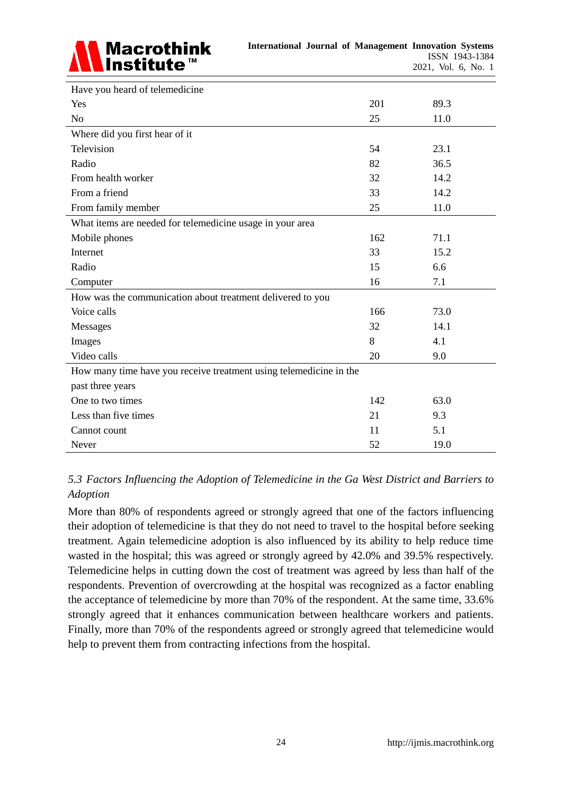

| Have you heard of telemedicine                                     |     |      |
|--------------------------------------------------------------------|-----|------|
| Yes                                                                | 201 | 89.3 |
| N <sub>o</sub>                                                     | 25  | 11.0 |
| Where did you first hear of it                                     |     |      |
| Television                                                         | 54  | 23.1 |
| Radio                                                              | 82  | 36.5 |
| From health worker                                                 | 32  | 14.2 |
| From a friend                                                      | 33  | 14.2 |
| From family member                                                 | 25  | 11.0 |
| What items are needed for telemedicine usage in your area          |     |      |
| Mobile phones                                                      | 162 | 71.1 |
| Internet                                                           | 33  | 15.2 |
| Radio                                                              | 15  | 6.6  |
| Computer                                                           | 16  | 7.1  |
| How was the communication about treatment delivered to you         |     |      |
| Voice calls                                                        | 166 | 73.0 |
| Messages                                                           | 32  | 14.1 |
| Images                                                             | 8   | 4.1  |
| Video calls                                                        | 20  | 9.0  |
| How many time have you receive treatment using telemedicine in the |     |      |
| past three years                                                   |     |      |
| One to two times                                                   | 142 | 63.0 |
| Less than five times                                               | 21  | 9.3  |
| Cannot count                                                       | 11  | 5.1  |
| Never                                                              | 52  | 19.0 |

# *5.3 Factors Influencing the Adoption of Telemedicine in the Ga West District and Barriers to Adoption*

More than 80% of respondents agreed or strongly agreed that one of the factors influencing their adoption of telemedicine is that they do not need to travel to the hospital before seeking treatment. Again telemedicine adoption is also influenced by its ability to help reduce time wasted in the hospital; this was agreed or strongly agreed by 42.0% and 39.5% respectively. Telemedicine helps in cutting down the cost of treatment was agreed by less than half of the respondents. Prevention of overcrowding at the hospital was recognized as a factor enabling the acceptance of telemedicine by more than 70% of the respondent. At the same time, 33.6% strongly agreed that it enhances communication between healthcare workers and patients. Finally, more than 70% of the respondents agreed or strongly agreed that telemedicine would help to prevent them from contracting infections from the hospital.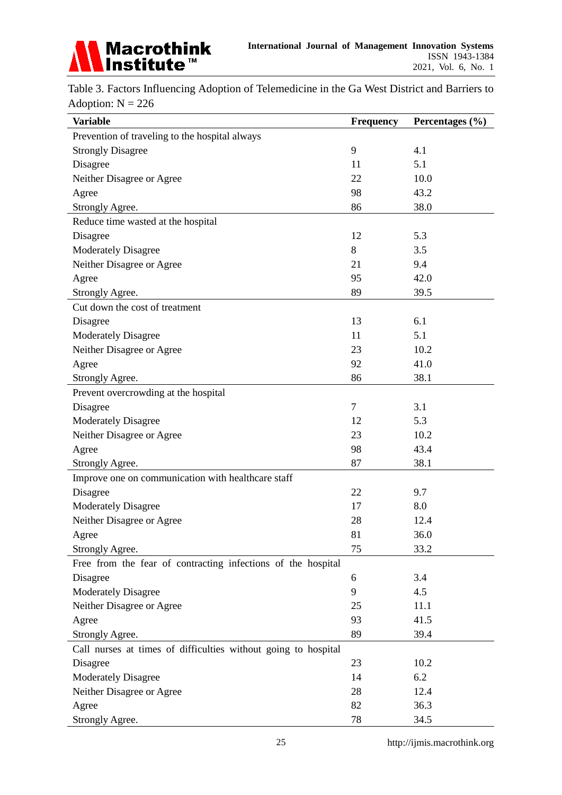

Table 3. Factors Influencing Adoption of Telemedicine in the Ga West District and Barriers to Adoption:  $N = 226$ 

| <b>Variable</b>                                                | <b>Frequency</b> | Percentages (%) |
|----------------------------------------------------------------|------------------|-----------------|
| Prevention of traveling to the hospital always                 |                  |                 |
| <b>Strongly Disagree</b>                                       | 9                | 4.1             |
| Disagree                                                       | 11               | 5.1             |
| Neither Disagree or Agree                                      | 22               | 10.0            |
| Agree                                                          | 98               | 43.2            |
| Strongly Agree.                                                | 86               | 38.0            |
| Reduce time wasted at the hospital                             |                  |                 |
| Disagree                                                       | 12               | 5.3             |
| <b>Moderately Disagree</b>                                     | 8                | 3.5             |
| Neither Disagree or Agree                                      | 21               | 9.4             |
| Agree                                                          | 95               | 42.0            |
| Strongly Agree.                                                | 89               | 39.5            |
| Cut down the cost of treatment                                 |                  |                 |
| Disagree                                                       | 13               | 6.1             |
| <b>Moderately Disagree</b>                                     | 11               | 5.1             |
| Neither Disagree or Agree                                      | 23               | 10.2            |
| Agree                                                          | 92               | 41.0            |
| Strongly Agree.                                                | 86               | 38.1            |
| Prevent overcrowding at the hospital                           |                  |                 |
| Disagree                                                       | 7                | 3.1             |
| <b>Moderately Disagree</b>                                     | 12               | 5.3             |
| Neither Disagree or Agree                                      | 23               | 10.2            |
| Agree                                                          | 98               | 43.4            |
| Strongly Agree.                                                | 87               | 38.1            |
| Improve one on communication with healthcare staff             |                  |                 |
| Disagree                                                       | 22               | 9.7             |
| <b>Moderately Disagree</b>                                     | 17               | 8.0             |
| Neither Disagree or Agree                                      | 28               | 12.4            |
| Agree                                                          | 81               | 36.0            |
| Strongly Agree.                                                | 75               | 33.2            |
| Free from the fear of contracting infections of the hospital   |                  |                 |
| Disagree                                                       | 6                | 3.4             |
| <b>Moderately Disagree</b>                                     | 9                | 4.5             |
| Neither Disagree or Agree                                      | 25               | 11.1            |
| Agree                                                          | 93               | 41.5            |
| Strongly Agree.                                                | 89               | 39.4            |
| Call nurses at times of difficulties without going to hospital |                  |                 |
| Disagree                                                       | 23               | 10.2            |
| <b>Moderately Disagree</b>                                     | 14               | 6.2             |
| Neither Disagree or Agree                                      | 28               | 12.4            |
| Agree                                                          | 82               | 36.3            |
| Strongly Agree.                                                | 78               | 34.5            |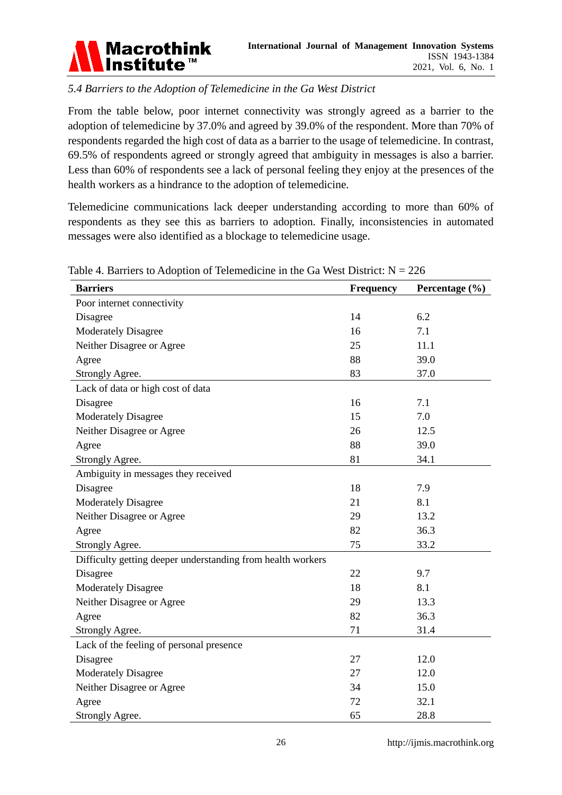

# *5.4 Barriers to the Adoption of Telemedicine in the Ga West District*

From the table below, poor internet connectivity was strongly agreed as a barrier to the adoption of telemedicine by 37.0% and agreed by 39.0% of the respondent. More than 70% of respondents regarded the high cost of data as a barrier to the usage of telemedicine. In contrast, 69.5% of respondents agreed or strongly agreed that ambiguity in messages is also a barrier. Less than 60% of respondents see a lack of personal feeling they enjoy at the presences of the health workers as a hindrance to the adoption of telemedicine.

Telemedicine communications lack deeper understanding according to more than 60% of respondents as they see this as barriers to adoption. Finally, inconsistencies in automated messages were also identified as a blockage to telemedicine usage.

| <b>Barriers</b>                                             | <b>Frequency</b> | Percentage $(\% )$ |
|-------------------------------------------------------------|------------------|--------------------|
| Poor internet connectivity                                  |                  |                    |
| Disagree                                                    | 14               | 6.2                |
| <b>Moderately Disagree</b>                                  | 16               | 7.1                |
| Neither Disagree or Agree                                   | 25               | 11.1               |
| Agree                                                       | 88               | 39.0               |
| Strongly Agree.                                             | 83               | 37.0               |
| Lack of data or high cost of data                           |                  |                    |
| Disagree                                                    | 16               | 7.1                |
| <b>Moderately Disagree</b>                                  | 15               | 7.0                |
| Neither Disagree or Agree                                   | 26               | 12.5               |
| Agree                                                       | 88               | 39.0               |
| Strongly Agree.                                             | 81               | 34.1               |
| Ambiguity in messages they received                         |                  |                    |
| Disagree                                                    | 18               | 7.9                |
| <b>Moderately Disagree</b>                                  | 21               | 8.1                |
| Neither Disagree or Agree                                   | 29               | 13.2               |
| Agree                                                       | 82               | 36.3               |
| Strongly Agree.                                             | 75               | 33.2               |
| Difficulty getting deeper understanding from health workers |                  |                    |
| Disagree                                                    | 22               | 9.7                |
| <b>Moderately Disagree</b>                                  | 18               | 8.1                |
| Neither Disagree or Agree                                   | 29               | 13.3               |
| Agree                                                       | 82               | 36.3               |
| Strongly Agree.                                             | 71               | 31.4               |
| Lack of the feeling of personal presence                    |                  |                    |
| Disagree                                                    | 27               | 12.0               |
| <b>Moderately Disagree</b>                                  | 27               | 12.0               |
| Neither Disagree or Agree                                   | 34               | 15.0               |
| Agree                                                       | 72               | 32.1               |
| Strongly Agree.                                             | 65               | 28.8               |

Table 4. Barriers to Adoption of Telemedicine in the Ga West District:  $N = 226$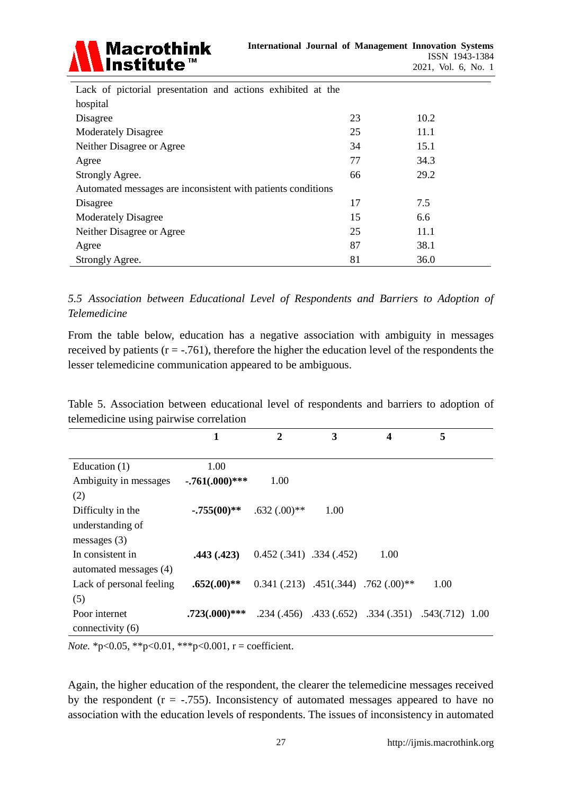

| Lack of pictorial presentation and actions exhibited at the  |    |      |  |  |  |
|--------------------------------------------------------------|----|------|--|--|--|
| hospital                                                     |    |      |  |  |  |
| Disagree                                                     | 23 | 10.2 |  |  |  |
| <b>Moderately Disagree</b>                                   | 25 | 11.1 |  |  |  |
| Neither Disagree or Agree                                    | 34 | 15.1 |  |  |  |
| Agree                                                        | 77 | 34.3 |  |  |  |
| Strongly Agree.                                              | 66 | 29.2 |  |  |  |
| Automated messages are inconsistent with patients conditions |    |      |  |  |  |
| Disagree                                                     | 17 | 7.5  |  |  |  |
| <b>Moderately Disagree</b>                                   | 15 | 6.6  |  |  |  |
| Neither Disagree or Agree                                    | 25 | 11.1 |  |  |  |
| Agree                                                        | 87 | 38.1 |  |  |  |
| Strongly Agree.                                              | 81 | 36.0 |  |  |  |

*5.5 Association between Educational Level of Respondents and Barriers to Adoption of Telemedicine*

From the table below, education has a negative association with ambiguity in messages received by patients  $(r = -0.761)$ , therefore the higher the education level of the respondents the lesser telemedicine communication appeared to be ambiguous.

| Table 5. Association between educational level of respondents and barriers to adoption of |  |  |  |  |  |
|-------------------------------------------------------------------------------------------|--|--|--|--|--|
| telemedicine using pairwise correlation                                                   |  |  |  |  |  |

|                          | 1                 | $\mathbf{2}$                           | 3    | 4                                                    | 5    |  |
|--------------------------|-------------------|----------------------------------------|------|------------------------------------------------------|------|--|
|                          |                   |                                        |      |                                                      |      |  |
| Education $(1)$          | 1.00              |                                        |      |                                                      |      |  |
| Ambiguity in messages    | $-.761(.000)$ *** | 1.00                                   |      |                                                      |      |  |
| (2)                      |                   |                                        |      |                                                      |      |  |
| Difficulty in the        | $-.755(00)$ **    | $.632(.00)**$                          | 1.00 |                                                      |      |  |
| understanding of         |                   |                                        |      |                                                      |      |  |
| messages $(3)$           |                   |                                        |      |                                                      |      |  |
| In consistent in         | .443(.423)        | $0.452(.341)$ .334 (.452)              |      | 1.00                                                 |      |  |
| automated messages (4)   |                   |                                        |      |                                                      |      |  |
| Lack of personal feeling | $.652(.00)**$     | $0.341$ (.213) .451(.344) .762 (.00)** |      |                                                      | 1.00 |  |
| (5)                      |                   |                                        |      |                                                      |      |  |
| Poor internet            | $.723(.000)$ ***  |                                        |      | .234 (.456) .433 (.652) .334 (.351) .543 (.712) 1.00 |      |  |
| connectivity (6)         |                   |                                        |      |                                                      |      |  |

*Note.* \*p<0.05, \*\*p<0.01, \*\*\*p<0.001,  $r =$  coefficient.

Again, the higher education of the respondent, the clearer the telemedicine messages received by the respondent  $(r = -.755)$ . Inconsistency of automated messages appeared to have no association with the education levels of respondents. The issues of inconsistency in automated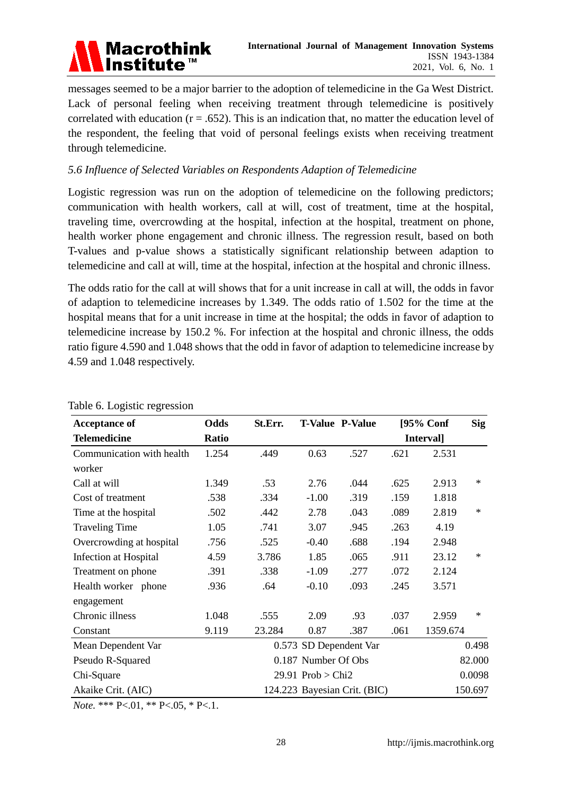

messages seemed to be a major barrier to the adoption of telemedicine in the Ga West District. Lack of personal feeling when receiving treatment through telemedicine is positively correlated with education  $(r = .652)$ . This is an indication that, no matter the education level of the respondent, the feeling that void of personal feelings exists when receiving treatment through telemedicine.

# *5.6 Influence of Selected Variables on Respondents Adaption of Telemedicine*

Logistic regression was run on the adoption of telemedicine on the following predictors; communication with health workers, call at will, cost of treatment, time at the hospital, traveling time, overcrowding at the hospital, infection at the hospital, treatment on phone, health worker phone engagement and chronic illness. The regression result, based on both T-values and p-value shows a statistically significant relationship between adaption to telemedicine and call at will, time at the hospital, infection at the hospital and chronic illness.

The odds ratio for the call at will shows that for a unit increase in call at will, the odds in favor of adaption to telemedicine increases by 1.349. The odds ratio of 1.502 for the time at the hospital means that for a unit increase in time at the hospital; the odds in favor of adaption to telemedicine increase by 150.2 %. For infection at the hospital and chronic illness, the odds ratio figure 4.590 and 1.048 shows that the odd in favor of adaption to telemedicine increase by 4.59 and 1.048 respectively.

| <b>Acceptance of</b>      | Odds  | St.Err. |                     | <b>T-Value P-Value</b>       |      | $[95%$ Conf | <b>Sig</b> |
|---------------------------|-------|---------|---------------------|------------------------------|------|-------------|------------|
| <b>Telemedicine</b>       | Ratio |         |                     |                              |      | Interval]   |            |
| Communication with health | 1.254 | .449    | 0.63                | .527                         | .621 | 2.531       |            |
| worker                    |       |         |                     |                              |      |             |            |
| Call at will              | 1.349 | .53     | 2.76                | .044                         | .625 | 2.913       | $\ast$     |
| Cost of treatment         | .538  | .334    | $-1.00$             | .319                         | .159 | 1.818       |            |
| Time at the hospital      | .502  | .442    | 2.78                | .043                         | .089 | 2.819       | $\ast$     |
| <b>Traveling Time</b>     | 1.05  | .741    | 3.07                | .945                         | .263 | 4.19        |            |
| Overcrowding at hospital  | .756  | .525    | $-0.40$             | .688                         | .194 | 2.948       |            |
| Infection at Hospital     | 4.59  | 3.786   | 1.85                | .065                         | .911 | 23.12       | $\ast$     |
| Treatment on phone        | .391  | .338    | $-1.09$             | .277                         | .072 | 2.124       |            |
| Health worker phone       | .936  | .64     | $-0.10$             | .093                         | .245 | 3.571       |            |
| engagement                |       |         |                     |                              |      |             |            |
| Chronic illness           | 1.048 | .555    | 2.09                | .93                          | .037 | 2.959       | $\ast$     |
| Constant                  | 9.119 | 23.284  | 0.87                | .387                         | .061 | 1359.674    |            |
| Mean Dependent Var        |       |         |                     | 0.573 SD Dependent Var       |      |             | 0.498      |
| Pseudo R-Squared          |       |         | 0.187 Number Of Obs |                              |      |             | 82.000     |
| Chi-Square                |       |         | 29.91 $Prob > Chi2$ |                              |      |             | 0.0098     |
| Akaike Crit. (AIC)        |       |         |                     | 124.223 Bayesian Crit. (BIC) |      |             | 150.697    |

#### Table 6. Logistic regression

*Note.* \*\*\* P<.01, \*\* P<.05, \* P<.1.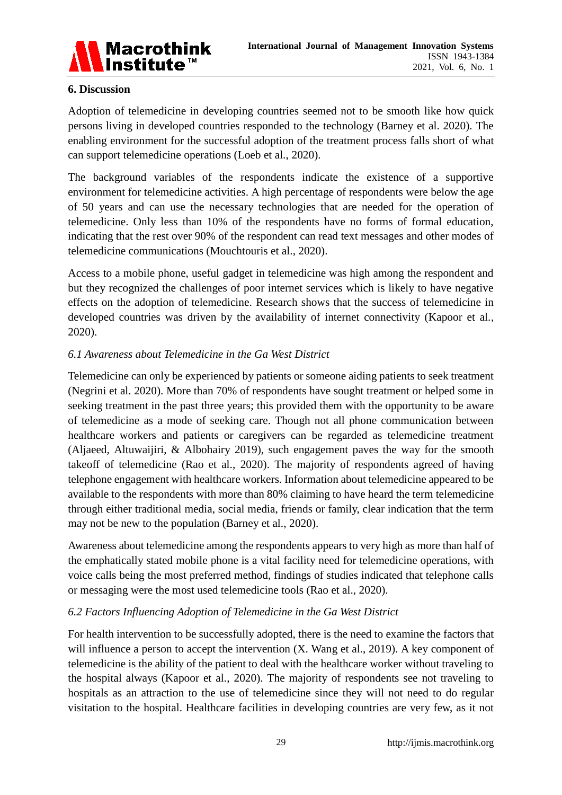

#### **6. Discussion**

Adoption of telemedicine in developing countries seemed not to be smooth like how quick persons living in developed countries responded to the technology (Barney et al. 2020). The enabling environment for the successful adoption of the treatment process falls short of what can support telemedicine operations (Loeb et al., 2020).

The background variables of the respondents indicate the existence of a supportive environment for telemedicine activities. A high percentage of respondents were below the age of 50 years and can use the necessary technologies that are needed for the operation of telemedicine. Only less than 10% of the respondents have no forms of formal education, indicating that the rest over 90% of the respondent can read text messages and other modes of telemedicine communications (Mouchtouris et al., 2020).

Access to a mobile phone, useful gadget in telemedicine was high among the respondent and but they recognized the challenges of poor internet services which is likely to have negative effects on the adoption of telemedicine. Research shows that the success of telemedicine in developed countries was driven by the availability of internet connectivity (Kapoor et al., 2020).

# *6.1 Awareness about Telemedicine in the Ga West District*

Telemedicine can only be experienced by patients or someone aiding patients to seek treatment (Negrini et al. 2020). More than 70% of respondents have sought treatment or helped some in seeking treatment in the past three years; this provided them with the opportunity to be aware of telemedicine as a mode of seeking care. Though not all phone communication between healthcare workers and patients or caregivers can be regarded as telemedicine treatment (Aljaeed, Altuwaijiri, & Albohairy 2019), such engagement paves the way for the smooth takeoff of telemedicine (Rao et al., 2020). The majority of respondents agreed of having telephone engagement with healthcare workers. Information about telemedicine appeared to be available to the respondents with more than 80% claiming to have heard the term telemedicine through either traditional media, social media, friends or family, clear indication that the term may not be new to the population (Barney et al., 2020).

Awareness about telemedicine among the respondents appears to very high as more than half of the emphatically stated mobile phone is a vital facility need for telemedicine operations, with voice calls being the most preferred method, findings of studies indicated that telephone calls or messaging were the most used telemedicine tools (Rao et al., 2020).

# *6.2 Factors Influencing Adoption of Telemedicine in the Ga West District*

For health intervention to be successfully adopted, there is the need to examine the factors that will influence a person to accept the intervention (X. Wang et al., 2019). A key component of telemedicine is the ability of the patient to deal with the healthcare worker without traveling to the hospital always (Kapoor et al., 2020). The majority of respondents see not traveling to hospitals as an attraction to the use of telemedicine since they will not need to do regular visitation to the hospital. Healthcare facilities in developing countries are very few, as it not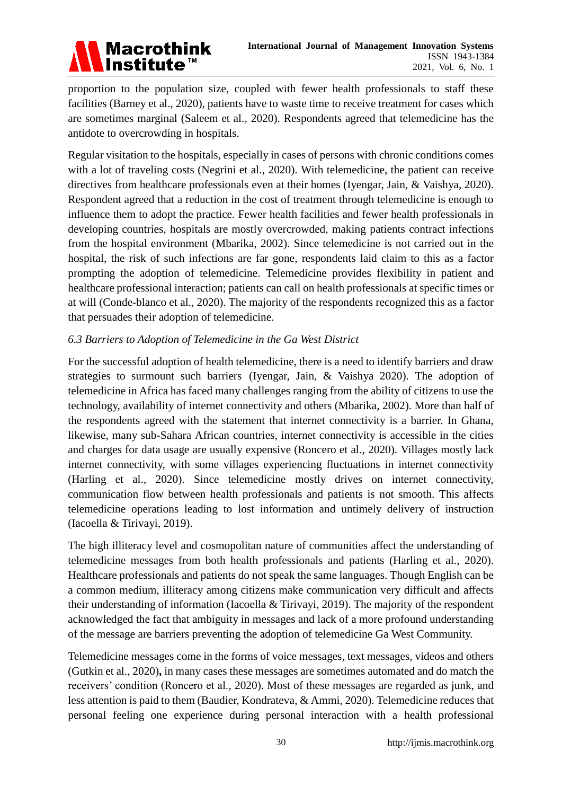

proportion to the population size, coupled with fewer health professionals to staff these facilities (Barney et al., 2020), patients have to waste time to receive treatment for cases which are sometimes marginal (Saleem et al., 2020). Respondents agreed that telemedicine has the antidote to overcrowding in hospitals.

Regular visitation to the hospitals, especially in cases of persons with chronic conditions comes with a lot of traveling costs (Negrini et al., 2020). With telemedicine, the patient can receive directives from healthcare professionals even at their homes (Iyengar, Jain, & Vaishya, 2020). Respondent agreed that a reduction in the cost of treatment through telemedicine is enough to influence them to adopt the practice. Fewer health facilities and fewer health professionals in developing countries, hospitals are mostly overcrowded, making patients contract infections from the hospital environment (Mbarika, 2002). Since telemedicine is not carried out in the hospital, the risk of such infections are far gone, respondents laid claim to this as a factor prompting the adoption of telemedicine. Telemedicine provides flexibility in patient and healthcare professional interaction; patients can call on health professionals at specific times or at will (Conde-blanco et al., 2020). The majority of the respondents recognized this as a factor that persuades their adoption of telemedicine.

# *6.3 Barriers to Adoption of Telemedicine in the Ga West District*

For the successful adoption of health telemedicine, there is a need to identify barriers and draw strategies to surmount such barriers (Iyengar, Jain, & Vaishya 2020). The adoption of telemedicine in Africa has faced many challenges ranging from the ability of citizens to use the technology, availability of internet connectivity and others (Mbarika, 2002). More than half of the respondents agreed with the statement that internet connectivity is a barrier. In Ghana, likewise, many sub-Sahara African countries, internet connectivity is accessible in the cities and charges for data usage are usually expensive (Roncero et al., 2020). Villages mostly lack internet connectivity, with some villages experiencing fluctuations in internet connectivity (Harling et al., 2020). Since telemedicine mostly drives on internet connectivity, communication flow between health professionals and patients is not smooth. This affects telemedicine operations leading to lost information and untimely delivery of instruction (Iacoella & Tirivayi, 2019).

The high illiteracy level and cosmopolitan nature of communities affect the understanding of telemedicine messages from both health professionals and patients (Harling et al., 2020). Healthcare professionals and patients do not speak the same languages. Though English can be a common medium, illiteracy among citizens make communication very difficult and affects their understanding of information (Iacoella & Tirivayi, 2019). The majority of the respondent acknowledged the fact that ambiguity in messages and lack of a more profound understanding of the message are barriers preventing the adoption of telemedicine Ga West Community.

Telemedicine messages come in the forms of voice messages, text messages, videos and others (Gutkin et al., 2020)**,** in many cases these messages are sometimes automated and do match the receivers' condition (Roncero et al., 2020). Most of these messages are regarded as junk, and less attention is paid to them (Baudier, Kondrateva, & Ammi, 2020). Telemedicine reduces that personal feeling one experience during personal interaction with a health professional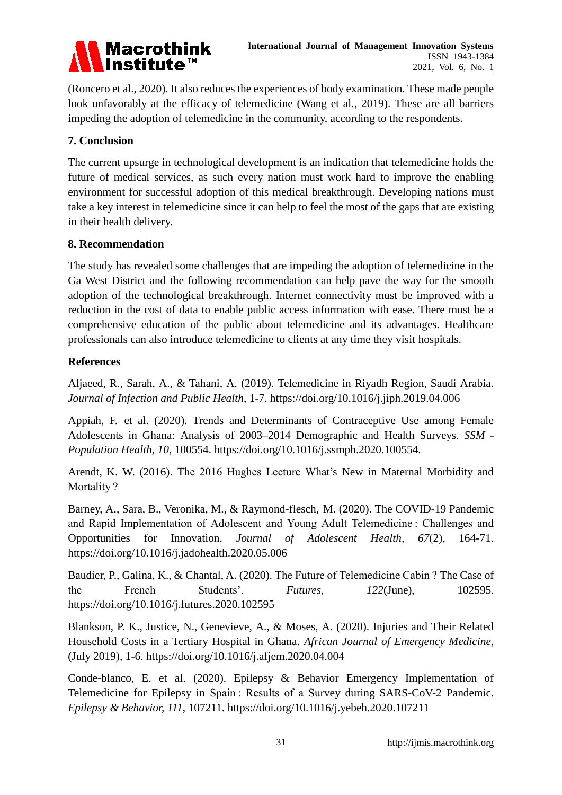

(Roncero et al., 2020). It also reduces the experiences of body examination. These made people look unfavorably at the efficacy of telemedicine (Wang et al., 2019). These are all barriers impeding the adoption of telemedicine in the community, according to the respondents.

# **7. Conclusion**

The current upsurge in technological development is an indication that telemedicine holds the future of medical services, as such every nation must work hard to improve the enabling environment for successful adoption of this medical breakthrough. Developing nations must take a key interest in telemedicine since it can help to feel the most of the gaps that are existing in their health delivery.

#### **8. Recommendation**

The study has revealed some challenges that are impeding the adoption of telemedicine in the Ga West District and the following recommendation can help pave the way for the smooth adoption of the technological breakthrough. Internet connectivity must be improved with a reduction in the cost of data to enable public access information with ease. There must be a comprehensive education of the public about telemedicine and its advantages. Healthcare professionals can also introduce telemedicine to clients at any time they visit hospitals.

# **References**

Aljaeed, R., Sarah, A., & Tahani, A. (2019). Telemedicine in Riyadh Region, Saudi Arabia. *Journal of Infection and Public Health*, 1-7. https://doi.org/10.1016/j.jiph.2019.04.006

Appiah, F. et al. (2020). Trends and Determinants of Contraceptive Use among Female Adolescents in Ghana: Analysis of 2003–2014 Demographic and Health Surveys. *SSM - Population Health, 10*, 100554. https://doi.org/10.1016/j.ssmph.2020.100554.

Arendt, K. W. (2016). The 2016 Hughes Lecture What's New in Maternal Morbidity and Mortality ?

Barney, A., Sara, B., Veronika, M., & Raymond-flesch, M. (2020). The COVID-19 Pandemic and Rapid Implementation of Adolescent and Young Adult Telemedicine : Challenges and Opportunities for Innovation. *Journal of Adolescent Health, 67*(2), 164-71. https://doi.org/10.1016/j.jadohealth.2020.05.006

Baudier, P., Galina, K., & Chantal, A. (2020). The Future of Telemedicine Cabin ? The Case of the French Students'. *Futures, 122*(June), 102595. https://doi.org/10.1016/j.futures.2020.102595

Blankson, P. K., Justice, N., Genevieve, A., & Moses, A. (2020). Injuries and Their Related Household Costs in a Tertiary Hospital in Ghana. *African Journal of Emergency Medicine,* (July 2019), 1-6. https://doi.org/10.1016/j.afjem.2020.04.004

Conde-blanco, E. et al. (2020). Epilepsy & Behavior Emergency Implementation of Telemedicine for Epilepsy in Spain : Results of a Survey during SARS-CoV-2 Pandemic. *Epilepsy & Behavior, 111*, 107211. https://doi.org/10.1016/j.yebeh.2020.107211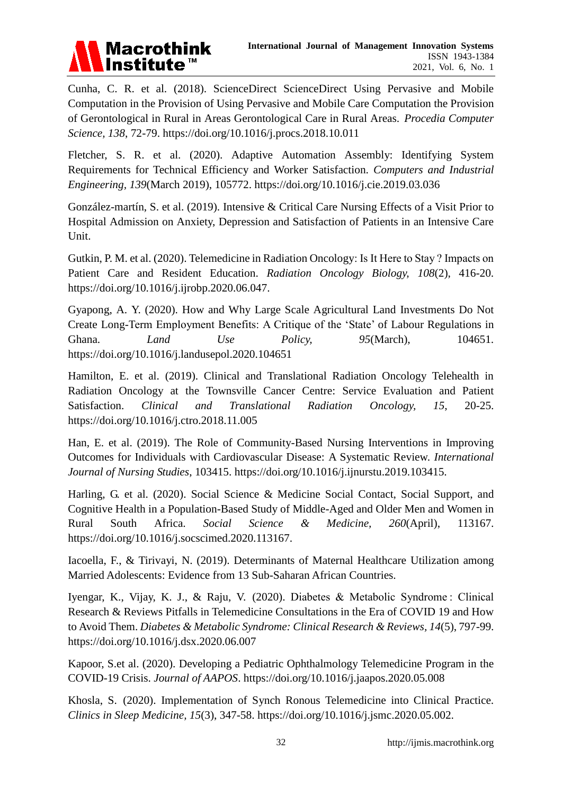

Cunha, C. R. et al. (2018). ScienceDirect ScienceDirect Using Pervasive and Mobile Computation in the Provision of Using Pervasive and Mobile Care Computation the Provision of Gerontological in Rural in Areas Gerontological Care in Rural Areas. *Procedia Computer Science, 138*, 72-79. https://doi.org/10.1016/j.procs.2018.10.011

Fletcher, S. R. et al. (2020). Adaptive Automation Assembly: Identifying System Requirements for Technical Efficiency and Worker Satisfaction. *Computers and Industrial Engineering, 139*(March 2019), 105772. https://doi.org/10.1016/j.cie.2019.03.036

Gonz aez-mart n. S. et al. (2019). Intensive & Critical Care Nursing Effects of a Visit Prior to Hospital Admission on Anxiety, Depression and Satisfaction of Patients in an Intensive Care Unit.

Gutkin, P. M. et al. (2020). Telemedicine in Radiation Oncology: Is It Here to Stay ? Impacts on Patient Care and Resident Education. *Radiation Oncology Biology, 108*(2), 416-20. https://doi.org/10.1016/j.ijrobp.2020.06.047.

Gyapong, A. Y. (2020). How and Why Large Scale Agricultural Land Investments Do Not Create Long-Term Employment Benefits: A Critique of the 'State' of Labour Regulations in Ghana. *Land Use Policy, 95*(March), 104651. https://doi.org/10.1016/j.landusepol.2020.104651

Hamilton, E. et al. (2019). Clinical and Translational Radiation Oncology Telehealth in Radiation Oncology at the Townsville Cancer Centre: Service Evaluation and Patient Satisfaction. *Clinical and Translational Radiation Oncology, 15*, 20-25. https://doi.org/10.1016/j.ctro.2018.11.005

Han, E. et al. (2019). The Role of Community-Based Nursing Interventions in Improving Outcomes for Individuals with Cardiovascular Disease: A Systematic Review. *International Journal of Nursing Studies*, 103415. https://doi.org/10.1016/j.ijnurstu.2019.103415.

Harling, G. et al. (2020). Social Science & Medicine Social Contact, Social Support, and Cognitive Health in a Population-Based Study of Middle-Aged and Older Men and Women in Rural South Africa. *Social Science & Medicine, 260*(April), 113167. https://doi.org/10.1016/j.socscimed.2020.113167.

Iacoella, F., & Tirivayi, N. (2019). Determinants of Maternal Healthcare Utilization among Married Adolescents: Evidence from 13 Sub-Saharan African Countries.

Iyengar, K., Vijay, K. J., & Raju, V. (2020). Diabetes & Metabolic Syndrome : Clinical Research & Reviews Pitfalls in Telemedicine Consultations in the Era of COVID 19 and How to Avoid Them. *Diabetes & Metabolic Syndrome: Clinical Research & Reviews, 14*(5), 797-99. https://doi.org/10.1016/j.dsx.2020.06.007

Kapoor, S.et al. (2020). Developing a Pediatric Ophthalmology Telemedicine Program in the COVID-19 Crisis. *Journal of AAPOS*. https://doi.org/10.1016/j.jaapos.2020.05.008

Khosla, S. (2020). Implementation of Synch Ronous Telemedicine into Clinical Practice. *Clinics in Sleep Medicine, 15*(3), 347-58. https://doi.org/10.1016/j.jsmc.2020.05.002.